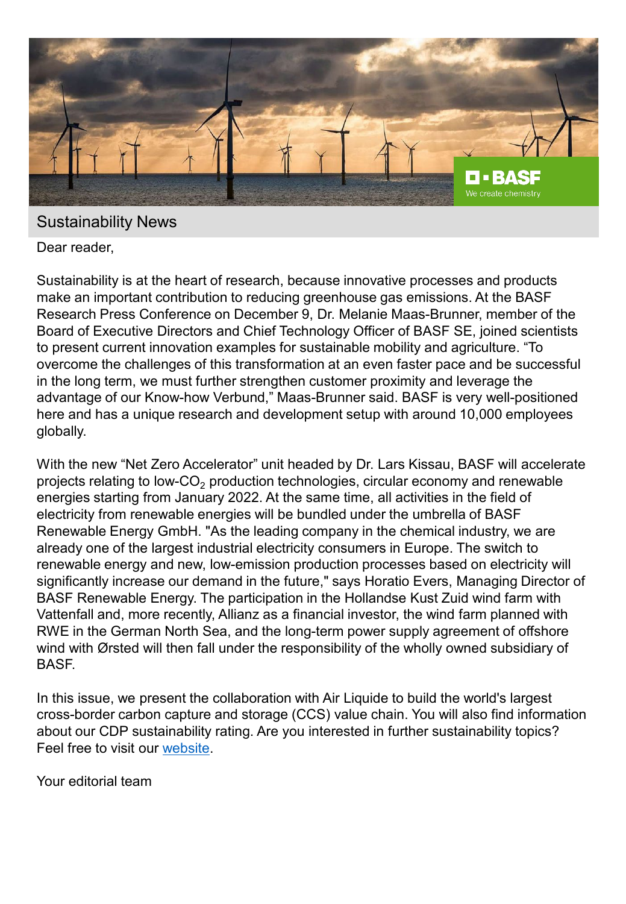

#### Sustainability News

Dear reader,

Sustainability is at the heart of research, because innovative processes and products make an important contribution to reducing greenhouse gas emissions. At the BASF Research Press Conference on December 9, Dr. Melanie Maas-Brunner, member of the Board of Executive Directors and Chief Technology Officer of BASF SE, joined scientists to present current innovation examples for sustainable mobility and agriculture. "To overcome the challenges of this transformation at an even faster pace and be successful in the long term, we must further strengthen customer proximity and leverage the advantage of our Know-how Verbund," Maas-Brunner said. BASF is very well-positioned here and has a unique research and development setup with around 10,000 employees globally.

With the new "Net Zero Accelerator" unit headed by Dr. Lars Kissau, BASF will accelerate projects relating to low-CO<sub>2</sub> production technologies, circular economy and renewable energies starting from January 2022. At the same time, all activities in the field of electricity from renewable energies will be bundled under the umbrella of BASF Renewable Energy GmbH. "As the leading company in the chemical industry, we are already one of the largest industrial electricity consumers in Europe. The switch to renewable energy and new, low-emission production processes based on electricity will significantly increase our demand in the future," says Horatio Evers, Managing Director of BASF Renewable Energy. The participation in the Hollandse Kust Zuid wind farm with Vattenfall and, more recently, Allianz as a financial investor, the wind farm planned with RWE in the German North Sea, and the long-term power supply agreement of offshore wind with Ørsted will then fall under the responsibility of the wholly owned subsidiary of BASF.

In this issue, we present the collaboration with Air Liquide to build the world's largest cross-border carbon capture and storage (CCS) value chain. You will also find information about our CDP sustainability rating. Are you interested in further sustainability topics? Feel free to visit our [website.](https://www.basf.com/global/en/who-we-are/sustainability/whats-new/sustainability-news.html)

Your editorial team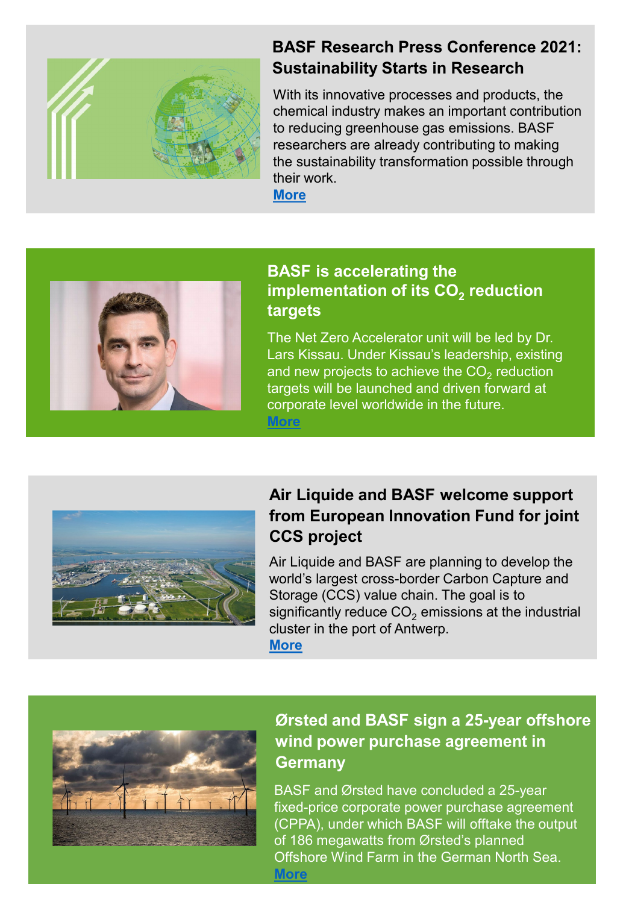

### **BASF Research Press Conference 2021: Sustainability Starts in Research**

With its innovative processes and products, the chemical industry makes an important contribution to reducing greenhouse gas emissions. BASF researchers are already contributing to making the sustainability transformation possible through their work.

**[More](https://www.basf.com/global/en/who-we-are/sustainability/whats-new/sustainability-news/2021/basf-research-press-conference-2021.html)**



#### **BASF is accelerating the implementation of its CO<sub>2</sub> reduction targets**

The Net Zero Accelerator unit will be led by Dr. Lars Kissau. Under Kissau's leadership, existing and new projects to achieve the  $CO<sub>2</sub>$  reduction targets will be launched and driven forward at corporate level worldwide in the future. **[More](https://www.basf.com/global/en/who-we-are/sustainability/whats-new/sustainability-news/2021/basf-is-accelerating-the-implementation.html)**



## **Air Liquide and BASF welcome support from European Innovation Fund for joint CCS project**

Air Liquide and BASF are planning to develop the world's largest cross-border Carbon Capture and Storage (CCS) value chain. The goal is to significantly reduce  $CO<sub>2</sub>$  emissions at the industrial cluster in the port of Antwerp. **[More](https://www.basf.com/global/en/who-we-are/sustainability/whats-new/sustainability-news/2021/air-liquide-and-basf-welcome-support.html)**

### **Ørsted and BASF sign a 25-year offshore wind power purchase agreement in Germany**

BASF and Ørsted have concluded a 25-year fixed-price corporate power purchase agreement (CPPA), under which BASF will offtake the output of 186 megawatts from Ørsted's planned Offshore Wind Farm in the German North Sea. **[More](https://www.basf.com/global/en/who-we-are/sustainability/whats-new/sustainability-news/2021/orsted-and-basf-sign-a-25-year-offshore.html)**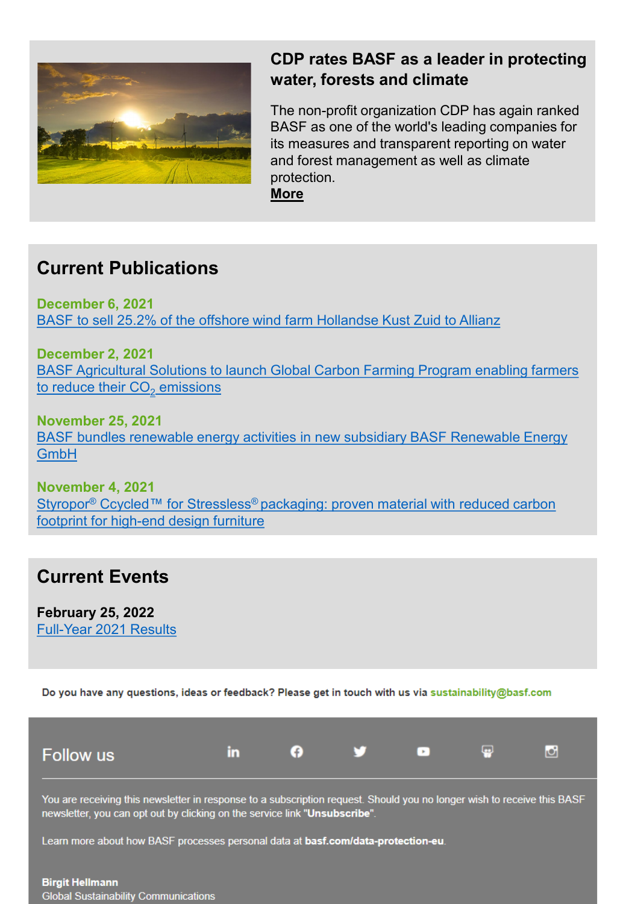

## **CDP rates BASF as a leader in protecting water, forests and climate**

The non-profit organization CDP has again ranked BASF as one of the world's leading companies for its measures and transparent reporting on water and forest management as well as climate protection. **[More](https://www.basf.com/global/en/who-we-are/sustainability/whats-new/sustainability-news/2021/cdp-rates-basf-as-a-leader.html)**

**Current Publications**

**December 6, 2021** [BASF to sell 25.2% of the offshore wind farm Hollandse](https://www.basf.com/global/en/who-we-are/sustainability/whats-new/sustainability-news/2021/basf-to-sell-25,2-percent.html) Kust Zuid to Allianz

**December 2, 2021** [BASF Agricultural Solutions to launch Global Carbon Farming Program enabling farmers](https://www.basf.com/global/en/who-we-are/sustainability/whats-new/sustainability-news/2021/basf-agricultural-solutions-to-launch.html)  to reduce their  $CO<sub>2</sub>$  emissions

**November 25, 2021** [BASF bundles renewable energy activities in new subsidiary BASF Renewable Energy](https://www.basf.com/global/en/who-we-are/sustainability/whats-new/sustainability-news/2021/basf-bundles-renewable-energy-activities.html)  GmbH

**November 4, 2021** Styropor<sup>®</sup> Ccycled™ for Stressless<sup>®</sup> packaging: proven material with reduced carbon footprint for high-end design furniture

# **Current Events**

**February 25, 2022** [Full-Year 2021 Results](https://www.basf.com/global/en/media/events/2022/full-year-2021-results.html)

Do you have any questions, ideas or feedback? Please get in touch with us via sustainability@basf.com

| <b>Follow</b> us |  | . . | <b>FRI</b> | ⊡ | ⊡ |
|------------------|--|-----|------------|---|---|
|                  |  |     |            |   |   |

You are receiving this newsletter in response to a subscription request. Should you no longer wish to receive this BASF newsletter, you can opt out by clicking on the service link "Unsubscribe".

Learn more about how BASF processes personal data at basf.com/data-protection-eu.

**Birgit Hellmann Global Sustainability Communications**